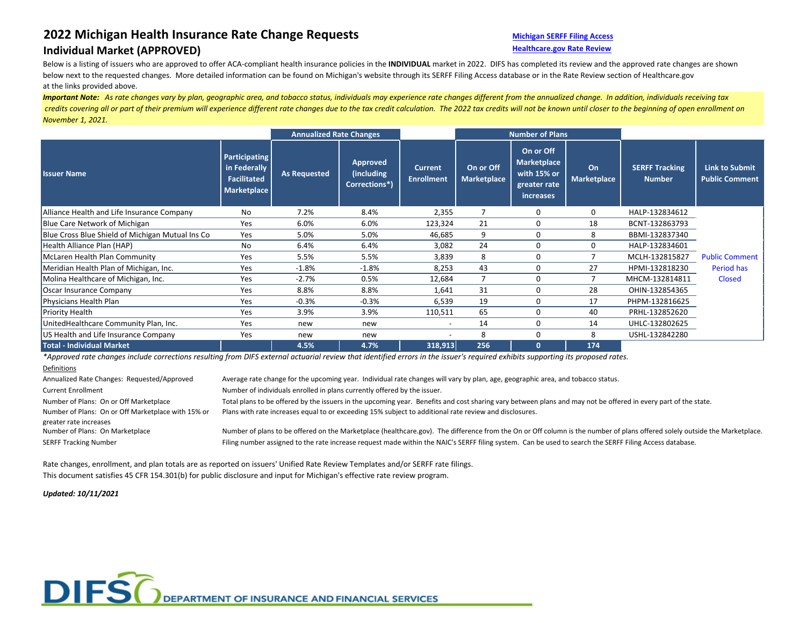# **2022 Michigan Health Insurance Rate Change Requests [Michigan SERFF Filing Access](https://filingaccess.serff.com/sfa/home/MI)**

## **Individual Market (APPROVED) Alternative Controllering Controllering Controllering Controllering Controllering Controllering Controllering Controllering Controllering Controllering Controllering Controllering Controller**

Below is a listing of issuers who are approved to offer ACA-compliant health insurance policies in the **INDIVIDUAL** market in 2022. DIFS has completed its review and the approved rate changes are shown below next to the requested changes. More detailed information can be found on Michigan's website through its SERFF Filing Access database or in the Rate Review section of Healthcare.gov at the links provided above.

*Important Note: As rate changes vary by plan, geographic area, and tobacco status, individuals may experience rate changes different from the annualized change. In addition, individuals receiving tax credits covering all or part of their premium will experience different rate changes due to the tax credit calculation. The 2022 tax credits will not be known until closer to the beginning of open enrollment on November 1, 2021.*

|                                                  |                                                                                  | <b>Annualized Rate Changes</b> |                                                |                                     | <b>Number of Plans</b>          |                                                                                    |                          |                                        |                                                |
|--------------------------------------------------|----------------------------------------------------------------------------------|--------------------------------|------------------------------------------------|-------------------------------------|---------------------------------|------------------------------------------------------------------------------------|--------------------------|----------------------------------------|------------------------------------------------|
| <b>Issuer Name</b>                               | <b>Participating</b><br>in Federally<br><b>Facilitated</b><br><b>Marketplace</b> | <b>As Requested</b>            | <b>Approved</b><br>(including<br>Corrections*) | <b>Current</b><br><b>Enrollment</b> | On or Off<br><b>Marketplace</b> | On or Off<br><b>Marketplace</b><br>with 15% or<br>greater rate<br><b>increases</b> | On<br><b>Marketplace</b> | <b>SERFF Tracking</b><br><b>Number</b> | <b>Link to Submit</b><br><b>Public Comment</b> |
| Alliance Health and Life Insurance Company       | No                                                                               | 7.2%                           | 8.4%                                           | 2,355                               |                                 | 0                                                                                  | 0                        | HALP-132834612                         |                                                |
| Blue Care Network of Michigan                    | Yes                                                                              | 6.0%                           | 6.0%                                           | 123,324                             | 21                              | $\mathbf{0}$                                                                       | 18                       | BCNT-132863793                         |                                                |
| Blue Cross Blue Shield of Michigan Mutual Ins Co | Yes                                                                              | 5.0%                           | 5.0%                                           | 46,685                              | 9                               | 0                                                                                  | 8                        | BBMI-132837340                         |                                                |
| Health Alliance Plan (HAP)                       | No                                                                               | 6.4%                           | 6.4%                                           | 3,082                               | 24                              | 0                                                                                  | 0                        | HALP-132834601                         |                                                |
| McLaren Health Plan Community                    | Yes                                                                              | 5.5%                           | 5.5%                                           | 3,839                               | 8                               | 0                                                                                  |                          | MCLH-132815827                         | <b>Public Comment</b>                          |
| Meridian Health Plan of Michigan, Inc.           | Yes                                                                              | $-1.8%$                        | $-1.8%$                                        | 8,253                               | 43                              | 0                                                                                  | 27                       | HPMI-132818230                         | Period has                                     |
| Molina Healthcare of Michigan, Inc.              | Yes                                                                              | $-2.7%$                        | 0.5%                                           | 12,684                              | 7                               | 0                                                                                  |                          | MHCM-132814811                         | <b>Closed</b>                                  |
| Oscar Insurance Company                          | Yes                                                                              | 8.8%                           | 8.8%                                           | 1,641                               | 31                              | $\mathbf{0}$                                                                       | 28                       | OHIN-132854365                         |                                                |
| Physicians Health Plan                           | Yes                                                                              | $-0.3%$                        | $-0.3%$                                        | 6,539                               | 19                              | 0                                                                                  | 17                       | PHPM-132816625                         |                                                |
| Priority Health                                  | Yes                                                                              | 3.9%                           | 3.9%                                           | 110,511                             | 65                              | 0                                                                                  | 40                       | PRHL-132852620                         |                                                |
| UnitedHealthcare Community Plan, Inc.            | Yes                                                                              | new                            | new                                            | $\overline{\phantom{a}}$            | 14                              | 0                                                                                  | 14                       | UHLC-132802625                         |                                                |
| US Health and Life Insurance Company             | Yes                                                                              | new                            | new                                            |                                     | 8                               | 0                                                                                  | 8                        | USHL-132842280                         |                                                |
| <b>Total - Individual Market</b>                 |                                                                                  | 4.5%                           | 4.7%                                           | 318,913                             | 256                             | $\mathbf{0}$                                                                       | 174                      |                                        |                                                |

*\*Approved rate changes include corrections resulting from DIFS external actuarial review that identified errors in the issuer's required exhibits supporting its proposed rates.*

### **Definitions**

Annualized Rate Changes: Requested/Approved Average rate change for the upcoming year. Individual rate changes will vary by plan, age, geographic area, and tobacco status. Current Enrollment **Number of individuals enrolled in plans currently offered by the issuer.** Number of Plans: On or Off Marketplace Total plans to be offered by the issuers in the upcoming year. Benefits and cost sharing vary between plans and may not be offered in every part of the state. Number of Plans: On or Off Marketplace with 15% or greater rate increases Plans with rate increases equal to or exceeding 15% subject to additional rate review and disclosures. Number of Plans: On Marketplace Number of plans to be offered on the Marketplace (healthcare.gov). The difference from the On or Off column is the number of plans offered solely outside the Marketplace. SERFF Tracking Number **Filing Access database.** Filing number assigned to the rate increase request made within the NAIC's SERFF filing system. Can be used to search the SERFF Filing Access database.

Rate changes, enrollment, and plan totals are as reported on issuers' Unified Rate Review Templates and/or SERFF rate filings. This document satisfies 45 CFR 154.301(b) for public disclosure and input for Michigan's effective rate review program.

*Updated: 10/11/2021*